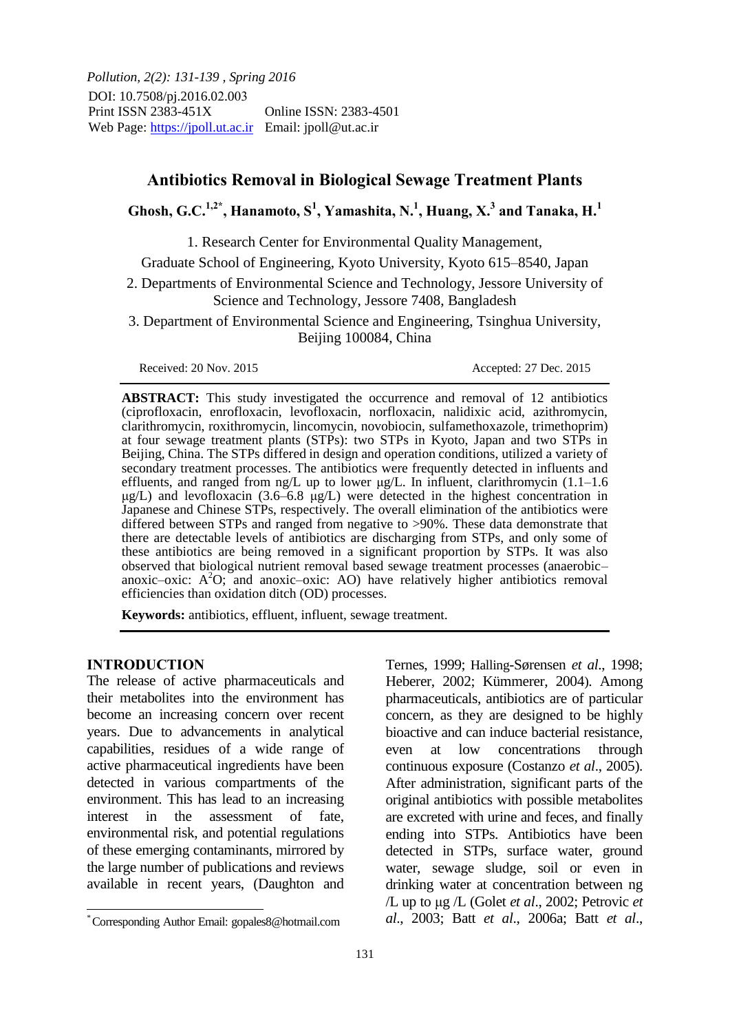*Pollution, 2(2): 131-139 , Spring 2016* DOI: 10.7508/pj.2016.02.003 Print ISSN 2383-451X Online ISSN: 2383-4501 Web Page: https://jpoll.ut.ac.ir Email: jpoll@ut.ac.ir

# **Antibiotics Removal in Biological Sewage Treatment Plants**

# Ghosh, G.C.<sup>1,2\*</sup>, Hanamoto, S<sup>1</sup>, Yamashita, N.<sup>1</sup>, Huang, X.<sup>3</sup> and Tanaka, H.<sup>1</sup>

1. Research Center for Environmental Quality Management,

Graduate School of Engineering, Kyoto University, Kyoto 615–8540, Japan

2. Departments of Environmental Science and Technology, Jessore University of Science and Technology, Jessore 7408, Bangladesh

3. Department of Environmental Science and Engineering, Tsinghua University, Beijing 100084, China

Received: 20 Nov. 2015 Accepted: 27 Dec. 2015

**ABSTRACT:** This study investigated the occurrence and removal of 12 antibiotics (ciprofloxacin, enrofloxacin, levofloxacin, norfloxacin, nalidixic acid, azithromycin, clarithromycin, roxithromycin, lincomycin, novobiocin, sulfamethoxazole, trimethoprim) at four sewage treatment plants (STPs): two STPs in Kyoto, Japan and two STPs in Beijing, China. The STPs differed in design and operation conditions, utilized a variety of secondary treatment processes. The antibiotics were frequently detected in influents and effluents, and ranged from ng/L up to lower μg/L. In influent, clarithromycin (1.1–1.6 μg/L) and levofloxacin (3.6–6.8 μg/L) were detected in the highest concentration in Japanese and Chinese STPs, respectively. The overall elimination of the antibiotics were differed between STPs and ranged from negative to >90%. These data demonstrate that there are detectable levels of antibiotics are discharging from STPs, and only some of these antibiotics are being removed in a significant proportion by STPs. It was also observed that biological nutrient removal based sewage treatment processes (anaerobic– anoxic–oxic:  $A<sup>2</sup>O$ ; and anoxic–oxic: AO) have relatively higher antibiotics removal efficiencies than oxidation ditch (OD) processes.

**Keywords:** antibiotics, effluent, influent, sewage treatment.

### **INTRODUCTION**

j

The release of active pharmaceuticals and their metabolites into the environment has become an increasing concern over recent years. Due to advancements in analytical capabilities, residues of a wide range of active pharmaceutical ingredients have been detected in various compartments of the environment. This has lead to an increasing interest in the assessment of fate, environmental risk, and potential regulations of these emerging contaminants, mirrored by the large number of publications and reviews available in recent years, (Daughton and

Ternes, 1999; Halling-Sørensen *et al*., 1998; Heberer, 2002; Kümmerer, 2004). Among pharmaceuticals, antibiotics are of particular concern, as they are designed to be highly bioactive and can induce bacterial resistance, even at low concentrations through continuous exposure (Costanzo *et al*., 2005). After administration, significant parts of the original antibiotics with possible metabolites are excreted with urine and feces, and finally ending into STPs. Antibiotics have been detected in STPs, surface water, ground water, sewage sludge, soil or even in drinking water at concentration between ng /L up to μg /L (Golet *et al*., 2002; Petrovic *et al*., 2003; Batt *et al*., 2006a; Batt *et al*.,

<sup>\*</sup> Corresponding Author Email: gopales8@hotmail.com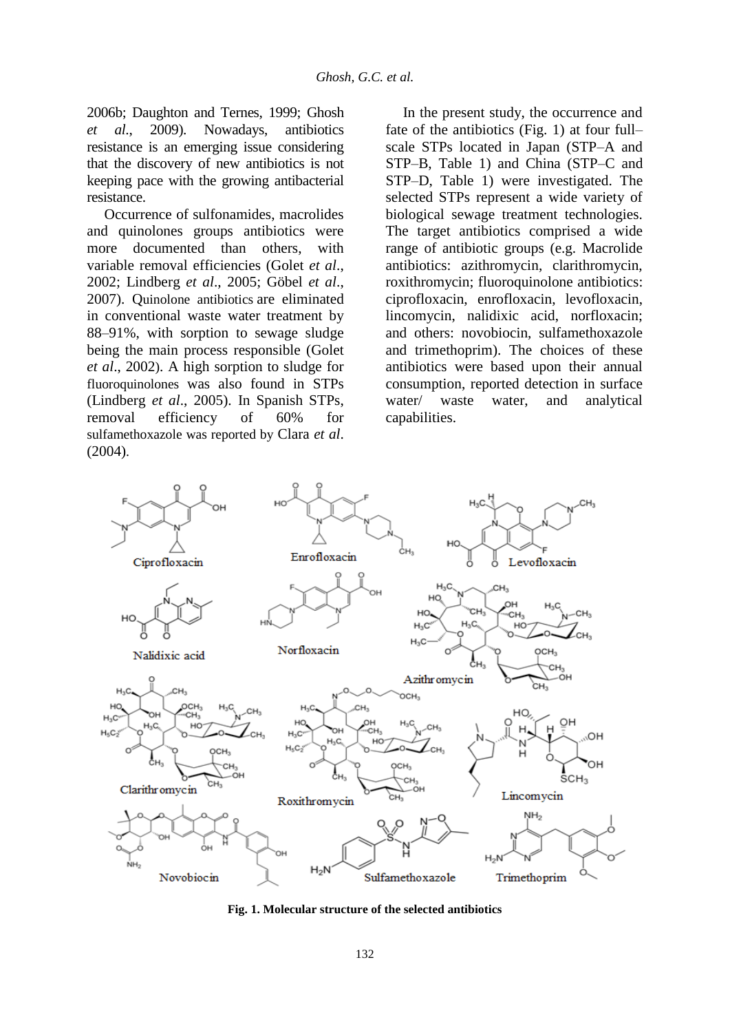2006b; Daughton and Ternes, 1999; Ghosh *et al*., 2009). Nowadays, antibiotics resistance is an emerging issue considering that the discovery of new antibiotics is not keeping pace with the growing antibacterial resistance.

Occurrence of sulfonamides, macrolides and quinolones groups antibiotics were more documented than others, with variable removal efficiencies (Golet *et al*., 2002; Lindberg *et al*., 2005; Göbel *et al*., 2007). Quinolone antibiotics are eliminated in conventional waste water treatment by 88–91%, with sorption to sewage sludge being the main process responsible (Golet *et al*., 2002). A high sorption to sludge for fluoroquinolones was also found in STPs (Lindberg *et al*., 2005). In Spanish STPs, removal efficiency of 60% for sulfamethoxazole was reported by Clara *et al*. (2004).

In the present study, the occurrence and fate of the antibiotics (Fig. 1) at four full– scale STPs located in Japan (STP–A and STP–B, Table 1) and China (STP–C and STP–D, Table 1) were investigated. The selected STPs represent a wide variety of biological sewage treatment technologies. The target antibiotics comprised a wide range of antibiotic groups (e.g. Macrolide antibiotics: azithromycin, clarithromycin, roxithromycin; fluoroquinolone antibiotics: ciprofloxacin, enrofloxacin, levofloxacin, lincomycin, nalidixic acid, norfloxacin; and others: novobiocin, sulfamethoxazole and trimethoprim). The choices of these antibiotics were based upon their annual consumption, reported detection in surface water/ waste water, and analytical capabilities.



**Fig. 1. Molecular structure of the selected antibiotics**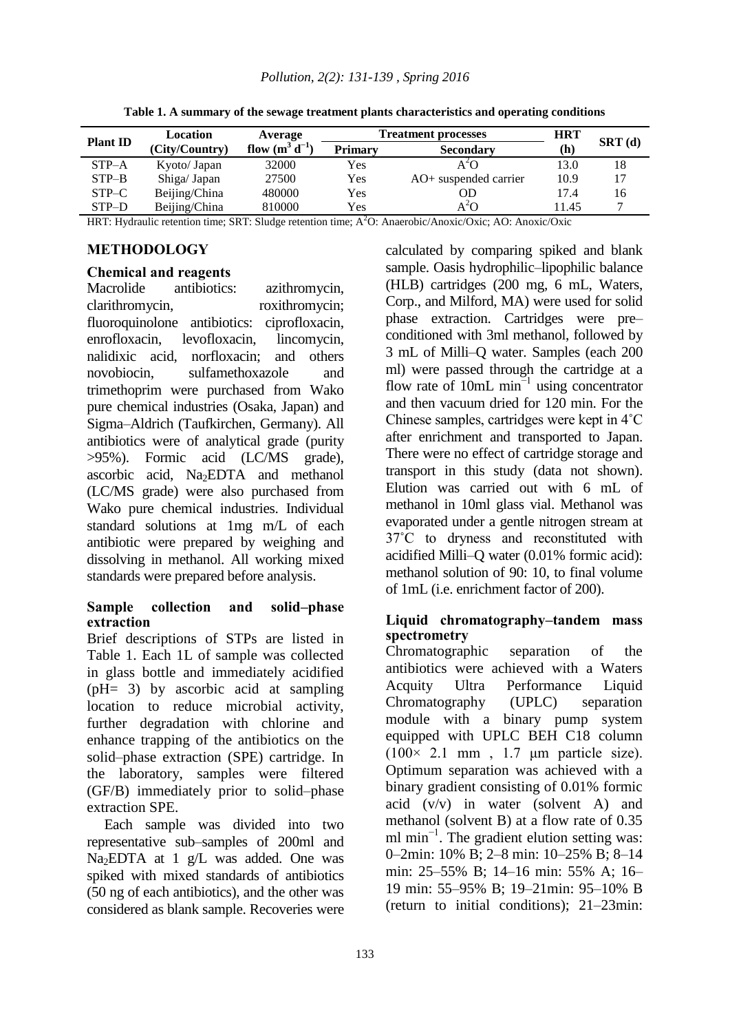| <b>Plant ID</b> | Location       | Average             |                | <b>Treatment processes</b> | <b>HRT</b> |        |
|-----------------|----------------|---------------------|----------------|----------------------------|------------|--------|
|                 | (City/Country) | flow $(m^3 d^{-1})$ | <b>Primary</b> | <b>Secondary</b>           | (h)        | SRT(d) |
| $STP-A$         | Kyoto/ Japan   | 32000               | Yes            |                            | 13.0       | 18     |
| $STP-B$         | Shiga/ Japan   | 27500               | Yes            | AO+ suspended carrier      | 10.9       |        |
| STP-C           | Beijing/China  | 480000              | Yes            | OD                         | 17.4       | 16     |
| STP-D           | Beijing/China  | 810000              | Yes            | $A^2O$                     | 11.45      |        |

**Table 1. A summary of the sewage treatment plants characteristics and operating conditions**

HRT: Hydraulic retention time; SRT: Sludge retention time; A<sup>2</sup>O: Anaerobic/Anoxic/Oxic; AO: Anoxic/Oxic

### **METHODOLOGY**

#### **Chemical and reagents**

Macrolide antibiotics: azithromycin, clarithromycin, roxithromycin; fluoroquinolone antibiotics: ciprofloxacin, enrofloxacin, levofloxacin, lincomycin, nalidixic acid, norfloxacin; and others novobiocin, sulfamethoxazole and trimethoprim were purchased from Wako pure chemical industries (Osaka, Japan) and Sigma–Aldrich (Taufkirchen, Germany). All antibiotics were of analytical grade (purity >95%). Formic acid (LC/MS grade), ascorbic acid, Na<sub>2</sub>EDTA and methanol (LC/MS grade) were also purchased from Wako pure chemical industries. Individual standard solutions at 1mg m/L of each antibiotic were prepared by weighing and dissolving in methanol. All working mixed standards were prepared before analysis.

#### **Sample collection and solid–phase extraction**

Brief descriptions of STPs are listed in Table 1. Each 1L of sample was collected in glass bottle and immediately acidified (pH= 3) by ascorbic acid at sampling location to reduce microbial activity, further degradation with chlorine and enhance trapping of the antibiotics on the solid–phase extraction (SPE) cartridge. In the laboratory, samples were filtered (GF/B) immediately prior to solid–phase extraction SPE.

Each sample was divided into two representative sub–samples of 200ml and Na<sub>2</sub>EDTA at 1 g/L was added. One was spiked with mixed standards of antibiotics (50 ng of each antibiotics), and the other was considered as blank sample. Recoveries were calculated by comparing spiked and blank sample. Oasis hydrophilic–lipophilic balance (HLB) cartridges (200 mg, 6 mL, Waters, Corp., and Milford, MA) were used for solid phase extraction. Cartridges were pre– conditioned with 3ml methanol, followed by 3 mL of Milli–Q water. Samples (each 200 ml) were passed through the cartridge at a flow rate of 10mL min<sup> $-1$ </sup> using concentrator and then vacuum dried for 120 min. For the Chinese samples, cartridges were kept in 4˚C after enrichment and transported to Japan. There were no effect of cartridge storage and transport in this study (data not shown). Elution was carried out with 6 mL of methanol in 10ml glass vial. Methanol was evaporated under a gentle nitrogen stream at 37˚C to dryness and reconstituted with acidified Milli–Q water (0.01% formic acid): methanol solution of 90: 10, to final volume of 1mL (i.e. enrichment factor of 200).

## **Liquid chromatography–tandem mass spectrometry**

Chromatographic separation of the antibiotics were achieved with a Waters Acquity Ultra Performance Liquid Chromatography (UPLC) separation module with a binary pump system equipped with UPLC BEH C18 column  $(100 \times 2.1 \text{ mm}$ , 1.7  $\mu$ m particle size). Optimum separation was achieved with a binary gradient consisting of 0.01% formic acid (v/v) in water (solvent A) and methanol (solvent B) at a flow rate of 0.35 ml min<sup>-1</sup>. The gradient elution setting was: 0–2min: 10% B; 2–8 min: 10–25% B; 8–14 min: 25–55% B; 14–16 min: 55% A; 16– 19 min: 55–95% B; 19–21min: 95–10% B (return to initial conditions); 21–23min: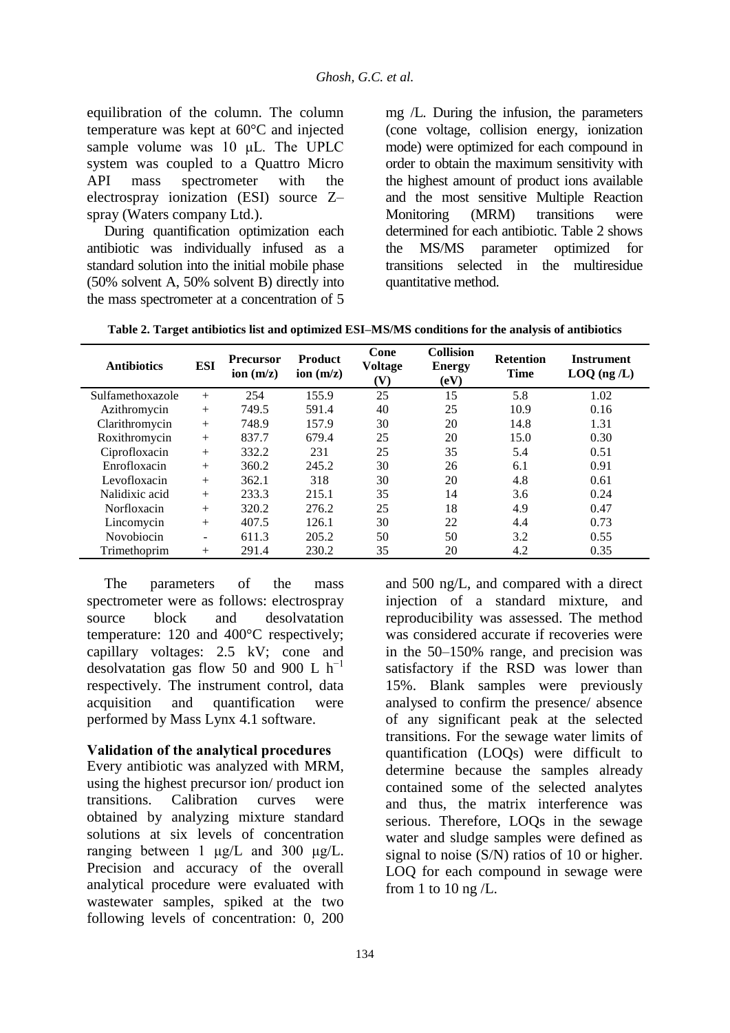equilibration of the column. The column temperature was kept at 60°C and injected sample volume was 10 μL. The UPLC system was coupled to a Quattro Micro API mass spectrometer with the electrospray ionization (ESI) source Z– spray (Waters company Ltd.).

During quantification optimization each antibiotic was individually infused as a standard solution into the initial mobile phase (50% solvent A, 50% solvent B) directly into the mass spectrometer at a concentration of 5

mg /L. During the infusion, the parameters (cone voltage, collision energy, ionization mode) were optimized for each compound in order to obtain the maximum sensitivity with the highest amount of product ions available and the most sensitive Multiple Reaction Monitoring (MRM) transitions were determined for each antibiotic. Table 2 shows the MS/MS parameter optimized for transitions selected in the multiresidue quantitative method.

| Table 2. Target antibiotics list and optimized ESI-MS/MS conditions for the analysis of antibiotics |  |
|-----------------------------------------------------------------------------------------------------|--|
|-----------------------------------------------------------------------------------------------------|--|

| <b>Antibiotics</b> | <b>ESI</b> | <b>Precursor</b><br>ion $(m/z)$ | <b>Product</b><br>ion $(m/z)$ | Cone<br><b>Voltage</b><br>V) | <b>Collision</b><br><b>Energy</b><br>(eV) | <b>Retention</b><br><b>Time</b> | <b>Instrument</b><br>$LOQ$ (ng $/L$ ) |
|--------------------|------------|---------------------------------|-------------------------------|------------------------------|-------------------------------------------|---------------------------------|---------------------------------------|
| Sulfamethoxazole   | $+$        | 254                             | 155.9                         | 25                           | 15                                        | 5.8                             | 1.02                                  |
| Azithromycin       | $+$        | 749.5                           | 591.4                         | 40                           | 25                                        | 10.9                            | 0.16                                  |
| Clarithromycin     | $^{+}$     | 748.9                           | 157.9                         | 30                           | 20                                        | 14.8                            | 1.31                                  |
| Roxithromycin      | $^{+}$     | 837.7                           | 679.4                         | 25                           | 20                                        | 15.0                            | 0.30                                  |
| Ciprofloxacin      | $+$        | 332.2                           | 231                           | 25                           | 35                                        | 5.4                             | 0.51                                  |
| Enrofloxacin       | $+$        | 360.2                           | 245.2                         | 30                           | 26                                        | 6.1                             | 0.91                                  |
| Levofloxacin       | $+$        | 362.1                           | 318                           | 30                           | 20                                        | 4.8                             | 0.61                                  |
| Nalidixic acid     | $+$        | 233.3                           | 215.1                         | 35                           | 14                                        | 3.6                             | 0.24                                  |
| Norfloxacin        | $+$        | 320.2                           | 276.2                         | 25                           | 18                                        | 4.9                             | 0.47                                  |
| Lincomycin         | $+$        | 407.5                           | 126.1                         | 30                           | 22                                        | 4.4                             | 0.73                                  |
| Novobiocin         | ۰          | 611.3                           | 205.2                         | 50                           | 50                                        | 3.2                             | 0.55                                  |
| Trimethoprim       | $^{+}$     | 291.4                           | 230.2                         | 35                           | 20                                        | 4.2                             | 0.35                                  |

The parameters of the mass spectrometer were as follows: electrospray source block and desolvatation temperature: 120 and 400°C respectively; capillary voltages: 2.5 kV; cone and desolvatation gas flow 50 and 900 L  $h^{-1}$ respectively. The instrument control, data acquisition and quantification were performed by Mass Lynx 4.1 software.

## **Validation of the analytical procedures**

Every antibiotic was analyzed with MRM, using the highest precursor ion/ product ion transitions. Calibration curves were obtained by analyzing mixture standard solutions at six levels of concentration ranging between 1 μg/L and 300 μg/L. Precision and accuracy of the overall analytical procedure were evaluated with wastewater samples, spiked at the two following levels of concentration: 0, 200

and 500 ng/L, and compared with a direct injection of a standard mixture, and reproducibility was assessed. The method was considered accurate if recoveries were in the 50–150% range, and precision was satisfactory if the RSD was lower than 15%. Blank samples were previously analysed to confirm the presence/ absence of any significant peak at the selected transitions. For the sewage water limits of quantification (LOQs) were difficult to determine because the samples already contained some of the selected analytes and thus, the matrix interference was serious. Therefore, LOQs in the sewage water and sludge samples were defined as signal to noise (S/N) ratios of 10 or higher. LOQ for each compound in sewage were from 1 to 10 ng  $/L$ .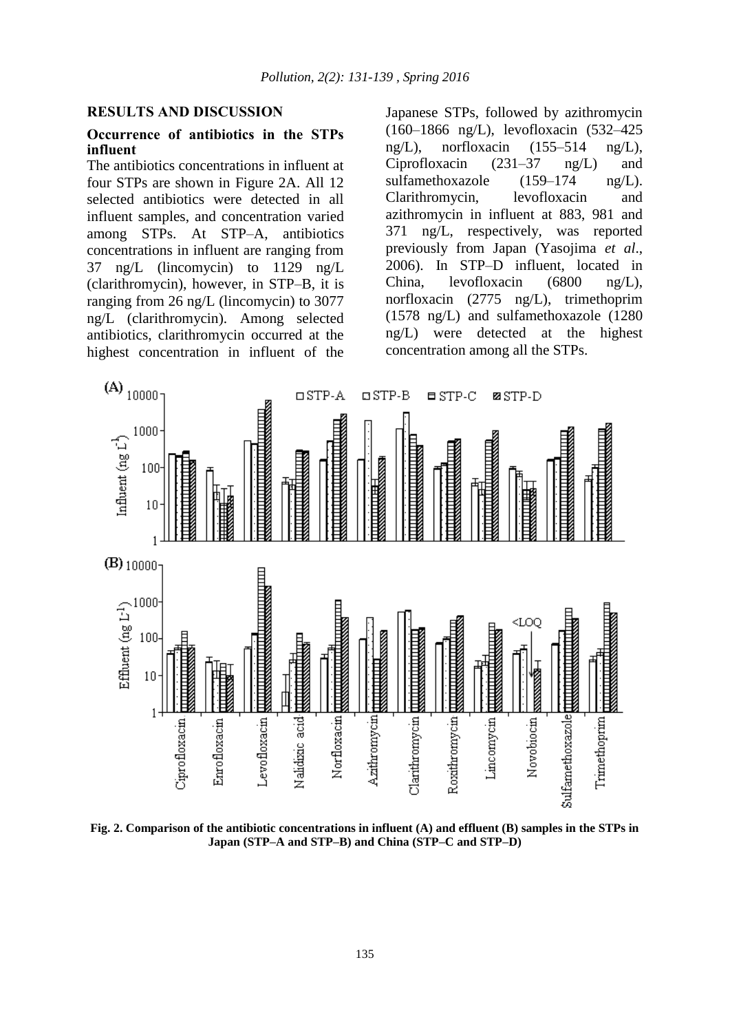#### **RESULTS AND DISCUSSION**

#### **Occurrence of antibiotics in the STPs influent**

The antibiotics concentrations in influent at four STPs are shown in Figure 2A. All 12 selected antibiotics were detected in all influent samples, and concentration varied among STPs. At STP–A, antibiotics concentrations in influent are ranging from 37 ng/L (lincomycin) to 1129 ng/L (clarithromycin), however, in STP–B, it is ranging from 26 ng/L (lincomycin) to 3077 ng/L (clarithromycin). Among selected antibiotics, clarithromycin occurred at the highest concentration in influent of the Japanese STPs, followed by azithromycin (160–1866 ng/L), levofloxacin (532–425 ng/L), norfloxacin (155–514 ng/L), Ciprofloxacin (231–37 ng/L) and sulfamethoxazole (159–174 ng/L). Clarithromycin, levofloxacin and azithromycin in influent at 883, 981 and 371 ng/L, respectively, was reported previously from Japan (Yasojima *et al*., 2006). In STP–D influent, located in China, levofloxacin (6800 ng/L), norfloxacin (2775 ng/L), trimethoprim (1578 ng/L) and sulfamethoxazole (1280 ng/L) were detected at the highest concentration among all the STPs.



**Fig. 2. Comparison of the antibiotic concentrations in influent (A) and effluent (B) samples in the STPs in Japan (STP–A and STP–B) and China (STP–C and STP–D)**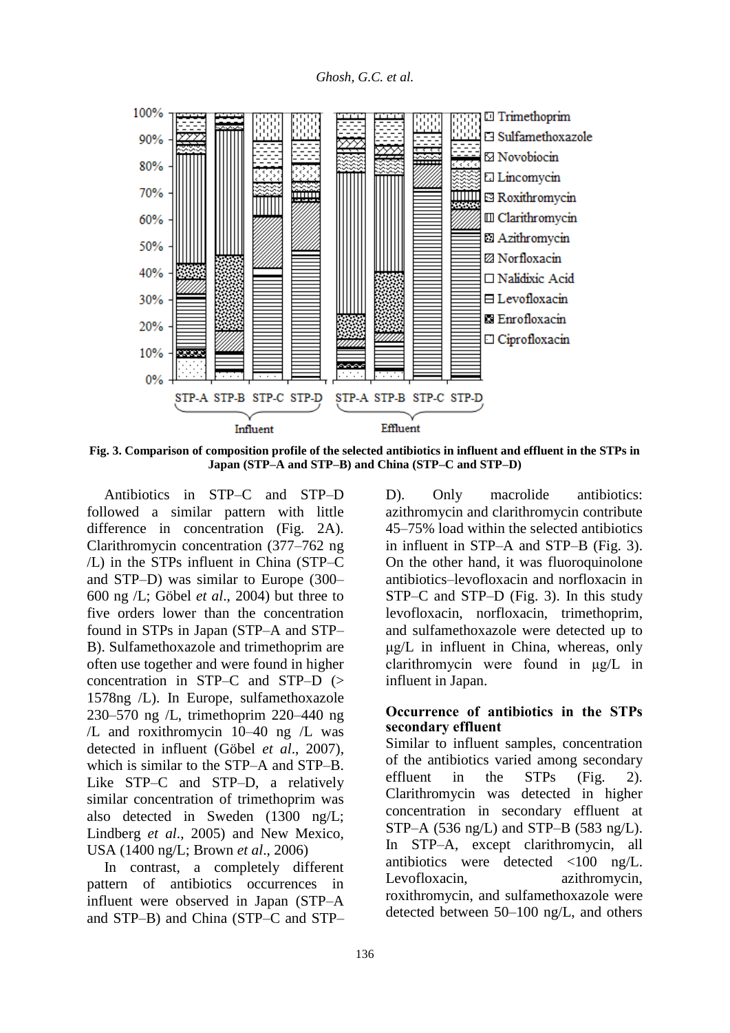

**Fig. 3. Comparison of composition profile of the selected antibiotics in influent and effluent in the STPs in Japan (STP–A and STP–B) and China (STP–C and STP–D)**

Antibiotics in STP–C and STP–D followed a similar pattern with little difference in concentration (Fig. 2A). Clarithromycin concentration (377–762 ng /L) in the STPs influent in China (STP–C and STP–D) was similar to Europe (300– 600 ng /L; Göbel *et al*., 2004) but three to five orders lower than the concentration found in STPs in Japan (STP–A and STP– B). Sulfamethoxazole and trimethoprim are often use together and were found in higher concentration in STP–C and STP–D (> 1578ng /L). In Europe, sulfamethoxazole 230–570 ng /L, trimethoprim 220–440 ng /L and roxithromycin 10–40 ng /L was detected in influent (Göbel *et al*., 2007), which is similar to the STP–A and STP–B. Like STP–C and STP–D, a relatively similar concentration of trimethoprim was also detected in Sweden (1300 ng/L; Lindberg *et al*., 2005) and New Mexico, USA (1400 ng/L; Brown *et al*., 2006)

In contrast, a completely different pattern of antibiotics occurrences in influent were observed in Japan (STP–A and STP–B) and China (STP–C and STP– D). Only macrolide antibiotics: azithromycin and clarithromycin contribute 45–75% load within the selected antibiotics in influent in STP–A and STP–B (Fig. 3). On the other hand, it was fluoroquinolone antibiotics–levofloxacin and norfloxacin in STP–C and STP–D (Fig. 3). In this study levofloxacin, norfloxacin, trimethoprim, and sulfamethoxazole were detected up to μg/L in influent in China, whereas, only clarithromycin were found in μg/L in influent in Japan.

### **Occurrence of antibiotics in the STPs secondary effluent**

Similar to influent samples, concentration of the antibiotics varied among secondary effluent in the STPs (Fig. 2). Clarithromycin was detected in higher concentration in secondary effluent at STP–A (536 ng/L) and STP–B (583 ng/L). In STP–A, except clarithromycin, all antibiotics were detected <100 ng/L. Levofloxacin, azithromycin, roxithromycin, and sulfamethoxazole were detected between 50–100 ng/L, and others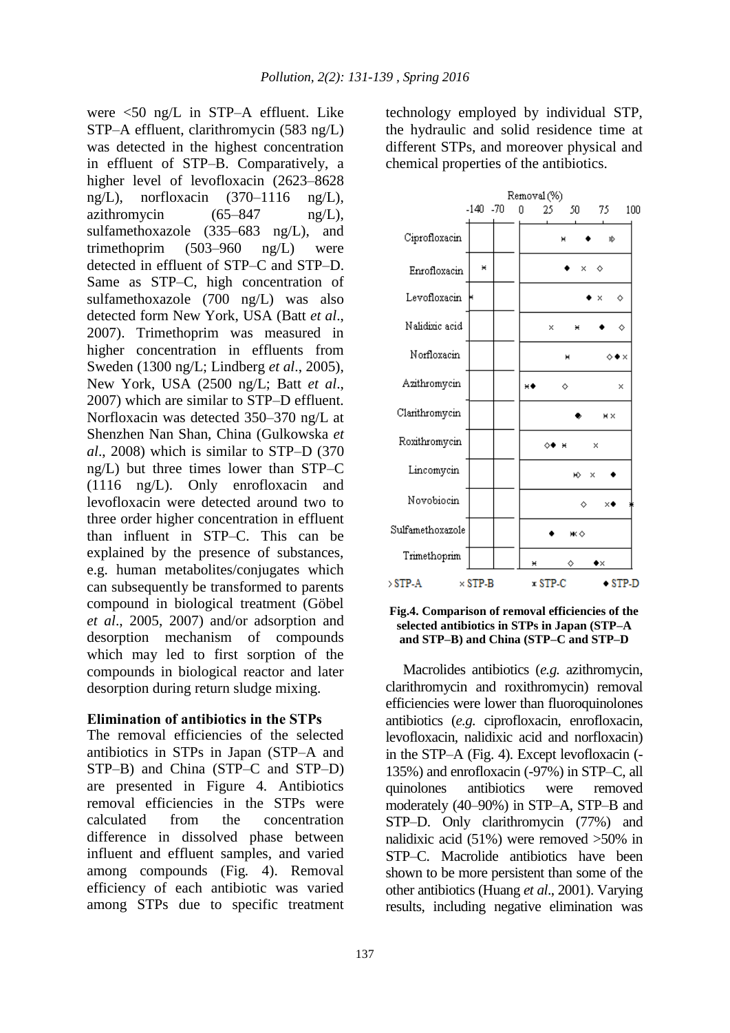were <50 ng/L in STP–A effluent. Like STP–A effluent, clarithromycin (583 ng/L) was detected in the highest concentration in effluent of STP–B. Comparatively, a higher level of levofloxacin (2623–8628 ng/L), norfloxacin  $(370-1116 \text{ ng/L})$ , azithromycin  $(65-847 \text{ ng/L}),$ sulfamethoxazole (335–683 ng/L), and trimethoprim (503–960 ng/L) were detected in effluent of STP–C and STP–D. Same as STP–C, high concentration of sulfamethoxazole (700 ng/L) was also detected form New York, USA (Batt *et al*., 2007). Trimethoprim was measured in higher concentration in effluents from Sweden (1300 ng/L; Lindberg *et al*., 2005), New York, USA (2500 ng/L; Batt *et al*., 2007) which are similar to STP–D effluent. Norfloxacin was detected 350–370 ng/L at Shenzhen Nan Shan, China (Gulkowska *et al*., 2008) which is similar to STP–D (370 ng/L) but three times lower than STP–C (1116 ng/L). Only enrofloxacin and levofloxacin were detected around two to three order higher concentration in effluent than influent in STP–C. This can be explained by the presence of substances, e.g. human metabolites/conjugates which can subsequently be transformed to parents compound in biological treatment (Göbel *et al*., 2005, 2007) and/or adsorption and desorption mechanism of compounds which may led to first sorption of the compounds in biological reactor and later desorption during return sludge mixing.

## **Elimination of antibiotics in the STPs**

The removal efficiencies of the selected antibiotics in STPs in Japan (STP–A and STP–B) and China (STP–C and STP–D) are presented in Figure 4. Antibiotics removal efficiencies in the STPs were calculated from the concentration difference in dissolved phase between influent and effluent samples, and varied among compounds (Fig*.* 4). Removal efficiency of each antibiotic was varied among STPs due to specific treatment technology employed by individual STP, the hydraulic and solid residence time at different STPs, and moreover physical and chemical properties of the antibiotics.



![](_page_6_Figure_6.jpeg)

Macrolides antibiotics (*e.g.* azithromycin, clarithromycin and roxithromycin) removal efficiencies were lower than fluoroquinolones antibiotics (*e.g.* ciprofloxacin, enrofloxacin, levofloxacin, nalidixic acid and norfloxacin) in the STP–A (Fig. 4). Except levofloxacin (- 135%) and enrofloxacin (-97%) in STP–C, all quinolones antibiotics were removed moderately (40–90%) in STP–A, STP–B and STP–D. Only clarithromycin (77%) and nalidixic acid (51%) were removed >50% in STP–C. Macrolide antibiotics have been shown to be more persistent than some of the other antibiotics (Huang *et al*., 2001). Varying results, including negative elimination was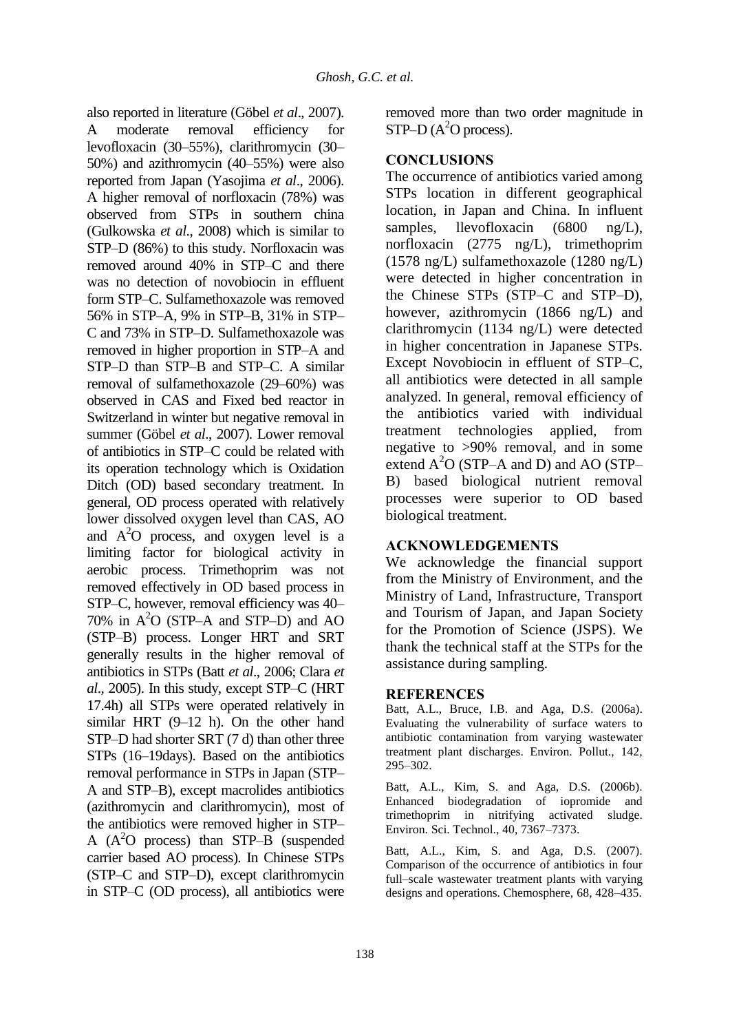also reported in literature (Göbel *et al*., 2007). A moderate removal efficiency for levofloxacin (30–55%), clarithromycin (30– 50%) and azithromycin (40–55%) were also reported from Japan (Yasojima *et al*., 2006). A higher removal of norfloxacin (78%) was observed from STPs in southern china (Gulkowska *et al*., 2008) which is similar to STP–D (86%) to this study. Norfloxacin was removed around 40% in STP–C and there was no detection of novobiocin in effluent form STP–C. Sulfamethoxazole was removed 56% in STP–A, 9% in STP–B, 31% in STP– C and 73% in STP–D. Sulfamethoxazole was removed in higher proportion in STP–A and STP–D than STP–B and STP–C. A similar removal of sulfamethoxazole (29–60%) was observed in CAS and Fixed bed reactor in Switzerland in winter but negative removal in summer (Göbel *et al*., 2007). Lower removal of antibiotics in STP–C could be related with its operation technology which is Oxidation Ditch (OD) based secondary treatment. In general, OD process operated with relatively lower dissolved oxygen level than CAS, AO and  $A<sup>2</sup>O$  process, and oxygen level is a limiting factor for biological activity in aerobic process. Trimethoprim was not removed effectively in OD based process in STP–C, however, removal efficiency was 40– 70% in  $A<sup>2</sup>O$  (STP–A and STP–D) and AO (STP–B) process. Longer HRT and SRT generally results in the higher removal of antibiotics in STPs (Batt *et al*., 2006; Clara *et al*., 2005). In this study, except STP–C (HRT 17.4h) all STPs were operated relatively in similar HRT (9–12 h). On the other hand STP–D had shorter SRT (7 d) than other three STPs (16–19days). Based on the antibiotics removal performance in STPs in Japan (STP– A and STP–B), except macrolides antibiotics (azithromycin and clarithromycin), most of the antibiotics were removed higher in STP– A  $(A<sup>2</sup>O$  process) than STP–B (suspended carrier based AO process). In Chinese STPs (STP–C and STP–D), except clarithromycin in STP–C (OD process), all antibiotics were

removed more than two order magnitude in  $STP-D (A<sup>2</sup>O process).$ 

## **CONCLUSIONS**

The occurrence of antibiotics varied among STPs location in different geographical location, in Japan and China. In influent samples, llevofloxacin (6800 ng/L), norfloxacin (2775 ng/L), trimethoprim (1578 ng/L) sulfamethoxazole (1280 ng/L) were detected in higher concentration in the Chinese STPs (STP–C and STP–D), however, azithromycin (1866 ng/L) and clarithromycin (1134 ng/L) were detected in higher concentration in Japanese STPs. Except Novobiocin in effluent of STP–C, all antibiotics were detected in all sample analyzed. In general, removal efficiency of the antibiotics varied with individual treatment technologies applied, from negative to >90% removal, and in some extend  $A<sup>2</sup>O$  (STP–A and D) and AO (STP– B) based biological nutrient removal processes were superior to OD based biological treatment.

# **ACKNOWLEDGEMENTS**

We acknowledge the financial support from the Ministry of Environment, and the Ministry of Land, Infrastructure, Transport and Tourism of Japan, and Japan Society for the Promotion of Science (JSPS). We thank the technical staff at the STPs for the assistance during sampling.

## **REFERENCES**

Batt, A.L., Bruce, I.B. and Aga, D.S. (2006a). Evaluating the vulnerability of surface waters to antibiotic contamination from varying wastewater treatment plant discharges. Environ. Pollut., 142, 295–302.

Batt, A.L., Kim, S. and Aga, D.S. (2006b). Enhanced biodegradation of iopromide and trimethoprim in nitrifying activated sludge. Environ. Sci. Technol., 40, 7367–7373.

Batt, A.L., Kim, S. and Aga, D.S. (2007). Comparison of the occurrence of antibiotics in four full–scale wastewater treatment plants with varying designs and operations. Chemosphere, 68, 428–435.